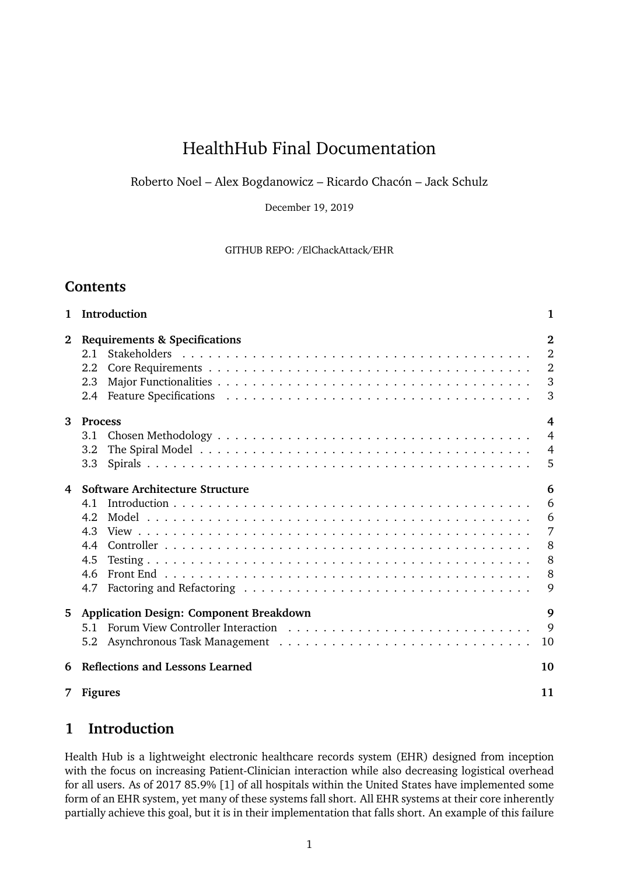# HealthHub Final Documentation

Roberto Noel – Alex Bogdanowicz – Ricardo Chacón – Jack Schulz

December 19, 2019

GITHUB REPO: /ElChackAttack/EHR

### **Contents**

| $\mathbf{1}$ | Introduction                                   | 1              |
|--------------|------------------------------------------------|----------------|
| $\bf{2}$     | <b>Requirements &amp; Specifications</b>       | $\overline{2}$ |
|              | 2.1                                            | $\overline{2}$ |
|              | 2.2                                            | $\overline{2}$ |
|              | 2.3                                            | 3              |
|              | $2.4^{\circ}$                                  | 3              |
| 3            | <b>Process</b>                                 | $\overline{4}$ |
|              | 3.1                                            | $\overline{4}$ |
|              | 3.2                                            | $\overline{4}$ |
|              | 3.3 <sub>2</sub>                               | 5              |
| 4            | Software Architecture Structure                | 6              |
|              | 4.1                                            | 6              |
|              | 4.2                                            | 6              |
|              | 4.3                                            | 7              |
|              | 4.4                                            | 8              |
|              | 4.5                                            | 8              |
|              | 4.6                                            | 8              |
|              | 4.7                                            | 9              |
| 5            | <b>Application Design: Component Breakdown</b> | 9              |
|              | 5.1                                            | 9              |
|              | 5.2                                            | 10             |
| 6            | <b>Reflections and Lessons Learned</b>         | 10             |
|              | 7 Figures                                      | 11             |

### **1 Introduction**

Health Hub is a lightweight electronic healthcare records system (EHR) designed from inception with the focus on increasing Patient-Clinician interaction while also decreasing logistical overhead for all users. As of 2017 85.9% [1] of all hospitals within the United States have implemented some form of an EHR system, yet many of these systems fall short. All EHR systems at their core inherently partially achieve this goal, but it is in their implementation that falls short. An example of this failure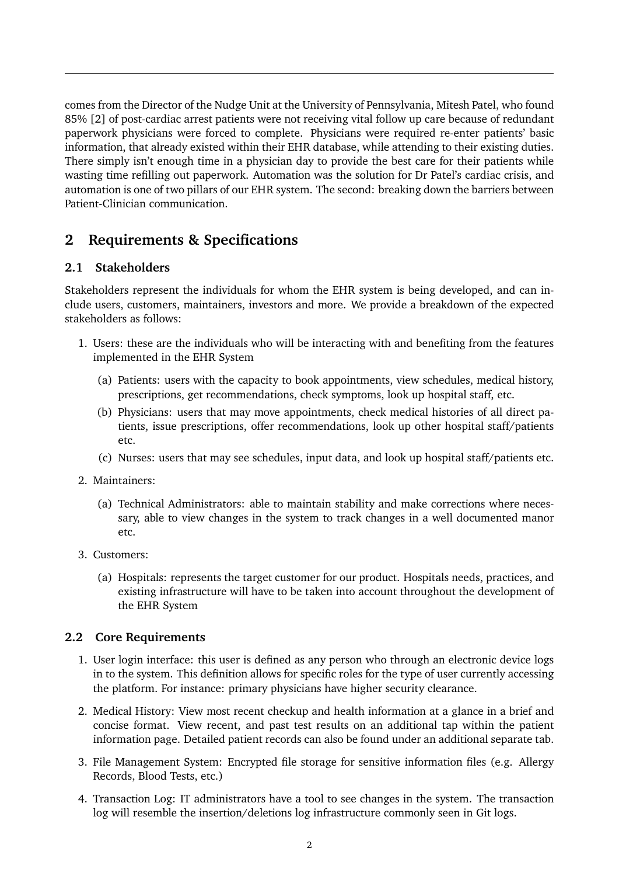comes from the Director of the Nudge Unit at the University of Pennsylvania, Mitesh Patel, who found 85% [2] of post-cardiac arrest patients were not receiving vital follow up care because of redundant paperwork physicians were forced to complete. Physicians were required re-enter patients' basic information, that already existed within their EHR database, while attending to their existing duties. There simply isn't enough time in a physician day to provide the best care for their patients while wasting time refilling out paperwork. Automation was the solution for Dr Patel's cardiac crisis, and automation is one of two pillars of our EHR system. The second: breaking down the barriers between Patient-Clinician communication.

## **2 Requirements & Specifications**

### **2.1 Stakeholders**

Stakeholders represent the individuals for whom the EHR system is being developed, and can include users, customers, maintainers, investors and more. We provide a breakdown of the expected stakeholders as follows:

- 1. Users: these are the individuals who will be interacting with and benefiting from the features implemented in the EHR System
	- (a) Patients: users with the capacity to book appointments, view schedules, medical history, prescriptions, get recommendations, check symptoms, look up hospital staff, etc.
	- (b) Physicians: users that may move appointments, check medical histories of all direct patients, issue prescriptions, offer recommendations, look up other hospital staff/patients etc.
	- (c) Nurses: users that may see schedules, input data, and look up hospital staff/patients etc.
- 2. Maintainers:
	- (a) Technical Administrators: able to maintain stability and make corrections where necessary, able to view changes in the system to track changes in a well documented manor etc.
- 3. Customers:
	- (a) Hospitals: represents the target customer for our product. Hospitals needs, practices, and existing infrastructure will have to be taken into account throughout the development of the EHR System

#### **2.2 Core Requirements**

- 1. User login interface: this user is defined as any person who through an electronic device logs in to the system. This definition allows for specific roles for the type of user currently accessing the platform. For instance: primary physicians have higher security clearance.
- 2. Medical History: View most recent checkup and health information at a glance in a brief and concise format. View recent, and past test results on an additional tap within the patient information page. Detailed patient records can also be found under an additional separate tab.
- 3. File Management System: Encrypted file storage for sensitive information files (e.g. Allergy Records, Blood Tests, etc.)
- 4. Transaction Log: IT administrators have a tool to see changes in the system. The transaction log will resemble the insertion/deletions log infrastructure commonly seen in Git logs.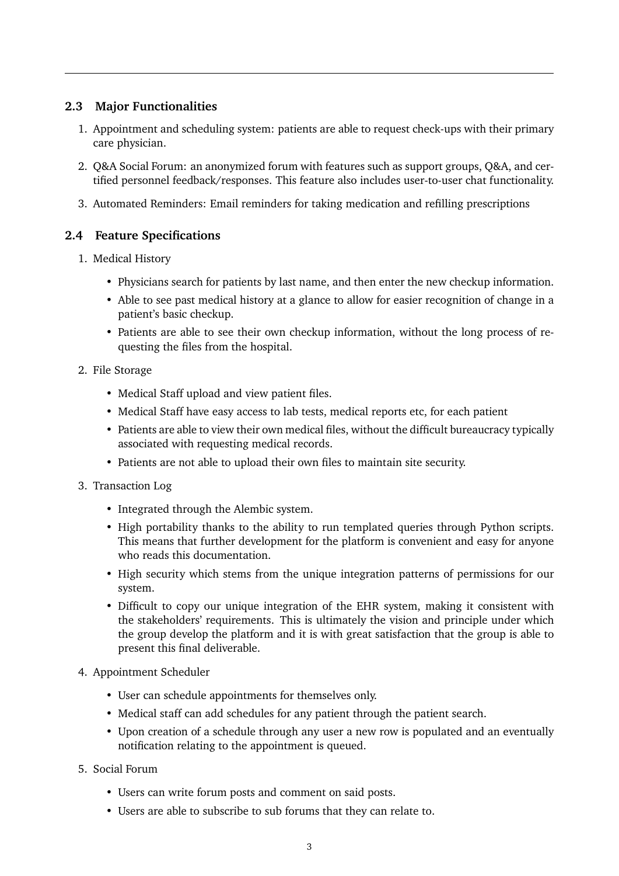#### **2.3 Major Functionalities**

- 1. Appointment and scheduling system: patients are able to request check-ups with their primary care physician.
- 2. Q&A Social Forum: an anonymized forum with features such as support groups, Q&A, and certified personnel feedback/responses. This feature also includes user-to-user chat functionality.
- 3. Automated Reminders: Email reminders for taking medication and refilling prescriptions

#### **2.4 Feature Specifications**

- 1. Medical History
	- Physicians search for patients by last name, and then enter the new checkup information.
	- Able to see past medical history at a glance to allow for easier recognition of change in a patient's basic checkup.
	- Patients are able to see their own checkup information, without the long process of requesting the files from the hospital.

#### 2. File Storage

- Medical Staff upload and view patient files.
- Medical Staff have easy access to lab tests, medical reports etc, for each patient
- Patients are able to view their own medical files, without the difficult bureaucracy typically associated with requesting medical records.
- Patients are not able to upload their own files to maintain site security.
- 3. Transaction Log
	- Integrated through the Alembic system.
	- High portability thanks to the ability to run templated queries through Python scripts. This means that further development for the platform is convenient and easy for anyone who reads this documentation.
	- High security which stems from the unique integration patterns of permissions for our system.
	- Difficult to copy our unique integration of the EHR system, making it consistent with the stakeholders' requirements. This is ultimately the vision and principle under which the group develop the platform and it is with great satisfaction that the group is able to present this final deliverable.
- 4. Appointment Scheduler
	- User can schedule appointments for themselves only.
	- Medical staff can add schedules for any patient through the patient search.
	- Upon creation of a schedule through any user a new row is populated and an eventually notification relating to the appointment is queued.
- 5. Social Forum
	- Users can write forum posts and comment on said posts.
	- Users are able to subscribe to sub forums that they can relate to.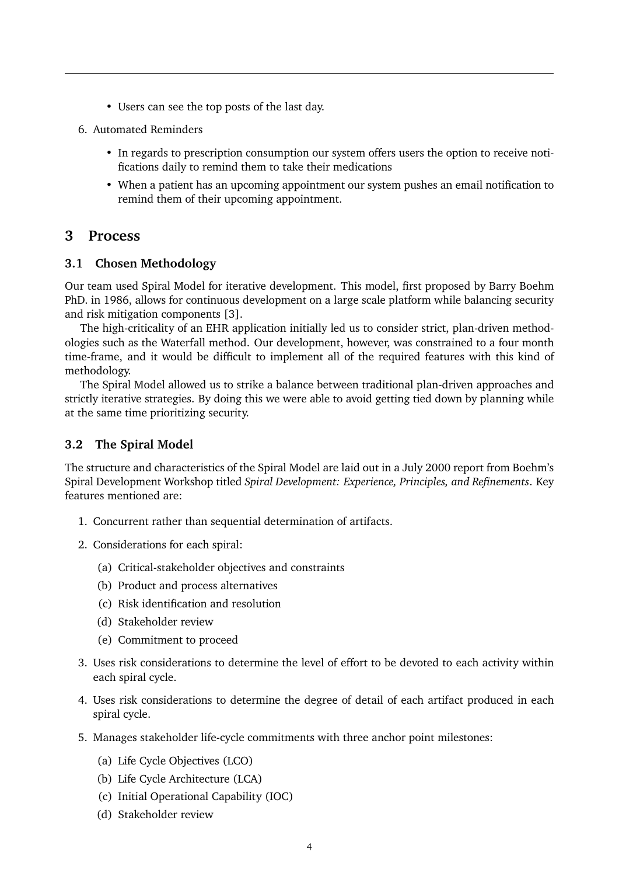- Users can see the top posts of the last day.
- 6. Automated Reminders
	- In regards to prescription consumption our system offers users the option to receive notifications daily to remind them to take their medications
	- When a patient has an upcoming appointment our system pushes an email notification to remind them of their upcoming appointment.

### **3 Process**

#### **3.1 Chosen Methodology**

Our team used Spiral Model for iterative development. This model, first proposed by Barry Boehm PhD. in 1986, allows for continuous development on a large scale platform while balancing security and risk mitigation components [3].

The high-criticality of an EHR application initially led us to consider strict, plan-driven methodologies such as the Waterfall method. Our development, however, was constrained to a four month time-frame, and it would be difficult to implement all of the required features with this kind of methodology.

The Spiral Model allowed us to strike a balance between traditional plan-driven approaches and strictly iterative strategies. By doing this we were able to avoid getting tied down by planning while at the same time prioritizing security.

#### **3.2 The Spiral Model**

The structure and characteristics of the Spiral Model are laid out in a July 2000 report from Boehm's Spiral Development Workshop titled *Spiral Development: Experience, Principles, and Refinements*. Key features mentioned are:

- 1. Concurrent rather than sequential determination of artifacts.
- 2. Considerations for each spiral:
	- (a) Critical-stakeholder objectives and constraints
	- (b) Product and process alternatives
	- (c) Risk identification and resolution
	- (d) Stakeholder review
	- (e) Commitment to proceed
- 3. Uses risk considerations to determine the level of effort to be devoted to each activity within each spiral cycle.
- 4. Uses risk considerations to determine the degree of detail of each artifact produced in each spiral cycle.
- 5. Manages stakeholder life-cycle commitments with three anchor point milestones:
	- (a) Life Cycle Objectives (LCO)
	- (b) Life Cycle Architecture (LCA)
	- (c) Initial Operational Capability (IOC)
	- (d) Stakeholder review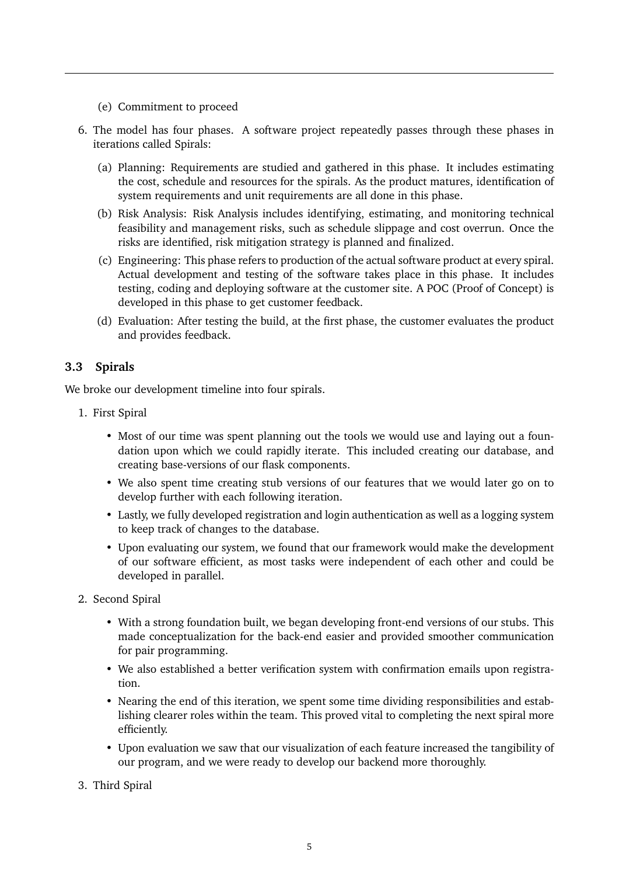- (e) Commitment to proceed
- 6. The model has four phases. A software project repeatedly passes through these phases in iterations called Spirals:
	- (a) Planning: Requirements are studied and gathered in this phase. It includes estimating the cost, schedule and resources for the spirals. As the product matures, identification of system requirements and unit requirements are all done in this phase.
	- (b) Risk Analysis: Risk Analysis includes identifying, estimating, and monitoring technical feasibility and management risks, such as schedule slippage and cost overrun. Once the risks are identified, risk mitigation strategy is planned and finalized.
	- (c) Engineering: This phase refers to production of the actual software product at every spiral. Actual development and testing of the software takes place in this phase. It includes testing, coding and deploying software at the customer site. A POC (Proof of Concept) is developed in this phase to get customer feedback.
	- (d) Evaluation: After testing the build, at the first phase, the customer evaluates the product and provides feedback.

### **3.3 Spirals**

We broke our development timeline into four spirals.

- 1. First Spiral
	- Most of our time was spent planning out the tools we would use and laying out a foundation upon which we could rapidly iterate. This included creating our database, and creating base-versions of our flask components.
	- We also spent time creating stub versions of our features that we would later go on to develop further with each following iteration.
	- Lastly, we fully developed registration and login authentication as well as a logging system to keep track of changes to the database.
	- Upon evaluating our system, we found that our framework would make the development of our software efficient, as most tasks were independent of each other and could be developed in parallel.
- 2. Second Spiral
	- With a strong foundation built, we began developing front-end versions of our stubs. This made conceptualization for the back-end easier and provided smoother communication for pair programming.
	- We also established a better verification system with confirmation emails upon registration.
	- Nearing the end of this iteration, we spent some time dividing responsibilities and establishing clearer roles within the team. This proved vital to completing the next spiral more efficiently.
	- Upon evaluation we saw that our visualization of each feature increased the tangibility of our program, and we were ready to develop our backend more thoroughly.
- 3. Third Spiral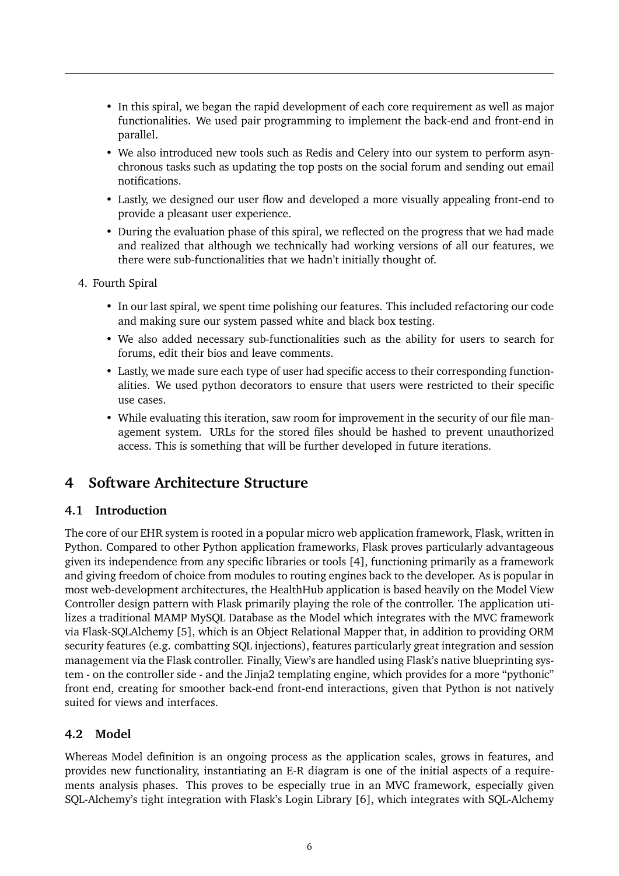- In this spiral, we began the rapid development of each core requirement as well as major functionalities. We used pair programming to implement the back-end and front-end in parallel.
- We also introduced new tools such as Redis and Celery into our system to perform asynchronous tasks such as updating the top posts on the social forum and sending out email notifications.
- Lastly, we designed our user flow and developed a more visually appealing front-end to provide a pleasant user experience.
- During the evaluation phase of this spiral, we reflected on the progress that we had made and realized that although we technically had working versions of all our features, we there were sub-functionalities that we hadn't initially thought of.
- 4. Fourth Spiral
	- In our last spiral, we spent time polishing our features. This included refactoring our code and making sure our system passed white and black box testing.
	- We also added necessary sub-functionalities such as the ability for users to search for forums, edit their bios and leave comments.
	- Lastly, we made sure each type of user had specific access to their corresponding functionalities. We used python decorators to ensure that users were restricted to their specific use cases.
	- While evaluating this iteration, saw room for improvement in the security of our file management system. URLs for the stored files should be hashed to prevent unauthorized access. This is something that will be further developed in future iterations.

## **4 Software Architecture Structure**

#### **4.1 Introduction**

The core of our EHR system is rooted in a popular micro web application framework, Flask, written in Python. Compared to other Python application frameworks, Flask proves particularly advantageous given its independence from any specific libraries or tools [4], functioning primarily as a framework and giving freedom of choice from modules to routing engines back to the developer. As is popular in most web-development architectures, the HealthHub application is based heavily on the Model View Controller design pattern with Flask primarily playing the role of the controller. The application utilizes a traditional MAMP MySQL Database as the Model which integrates with the MVC framework via Flask-SQLAlchemy [5], which is an Object Relational Mapper that, in addition to providing ORM security features (e.g. combatting SQL injections), features particularly great integration and session management via the Flask controller. Finally, View's are handled using Flask's native blueprinting system - on the controller side - and the Jinja2 templating engine, which provides for a more "pythonic" front end, creating for smoother back-end front-end interactions, given that Python is not natively suited for views and interfaces.

### **4.2 Model**

Whereas Model definition is an ongoing process as the application scales, grows in features, and provides new functionality, instantiating an E-R diagram is one of the initial aspects of a requirements analysis phases. This proves to be especially true in an MVC framework, especially given SQL-Alchemy's tight integration with Flask's Login Library [6], which integrates with SQL-Alchemy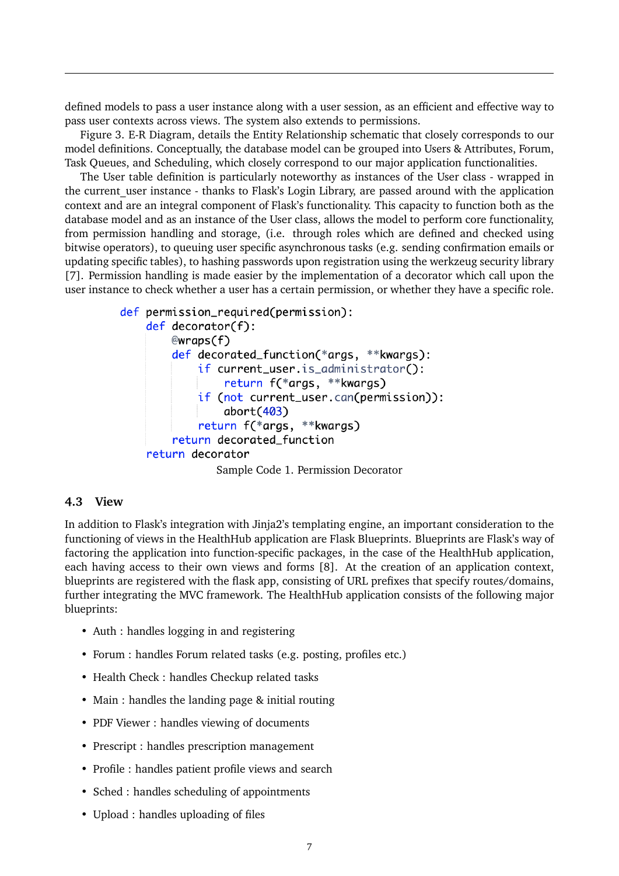defined models to pass a user instance along with a user session, as an efficient and effective way to pass user contexts across views. The system also extends to permissions.

Figure 3. E-R Diagram, details the Entity Relationship schematic that closely corresponds to our model definitions. Conceptually, the database model can be grouped into Users & Attributes, Forum, Task Queues, and Scheduling, which closely correspond to our major application functionalities.

The User table definition is particularly noteworthy as instances of the User class - wrapped in the current user instance - thanks to Flask's Login Library, are passed around with the application context and are an integral component of Flask's functionality. This capacity to function both as the database model and as an instance of the User class, allows the model to perform core functionality, from permission handling and storage, (i.e. through roles which are defined and checked using bitwise operators), to queuing user specific asynchronous tasks (e.g. sending confirmation emails or updating specific tables), to hashing passwords upon registration using the werkzeug security library [7]. Permission handling is made easier by the implementation of a decorator which call upon the user instance to check whether a user has a certain permission, or whether they have a specific role.

```
def permission_required(permission):
    def decorator(f):
        @wraps(f)def decorated_function(*args, **kwargs):
            if current_user.is_administrator():
                return f(*args, **kwargs)
            if (not current_user.can(permission)):
                abort(403)return f(*args, **kwargs)
        return decorated function
    return decorator
               Sample Code 1. Permission Decorator
```
#### **4.3 View**

In addition to Flask's integration with Jinja2's templating engine, an important consideration to the functioning of views in the HealthHub application are Flask Blueprints. Blueprints are Flask's way of factoring the application into function-specific packages, in the case of the HealthHub application, each having access to their own views and forms [8]. At the creation of an application context, blueprints are registered with the flask app, consisting of URL prefixes that specify routes/domains, further integrating the MVC framework. The HealthHub application consists of the following major blueprints:

- Auth : handles logging in and registering
- Forum : handles Forum related tasks (e.g. posting, profiles etc.)
- Health Check : handles Checkup related tasks
- Main : handles the landing page & initial routing
- PDF Viewer : handles viewing of documents
- Prescript : handles prescription management
- Profile : handles patient profile views and search
- Sched : handles scheduling of appointments
- Upload : handles uploading of files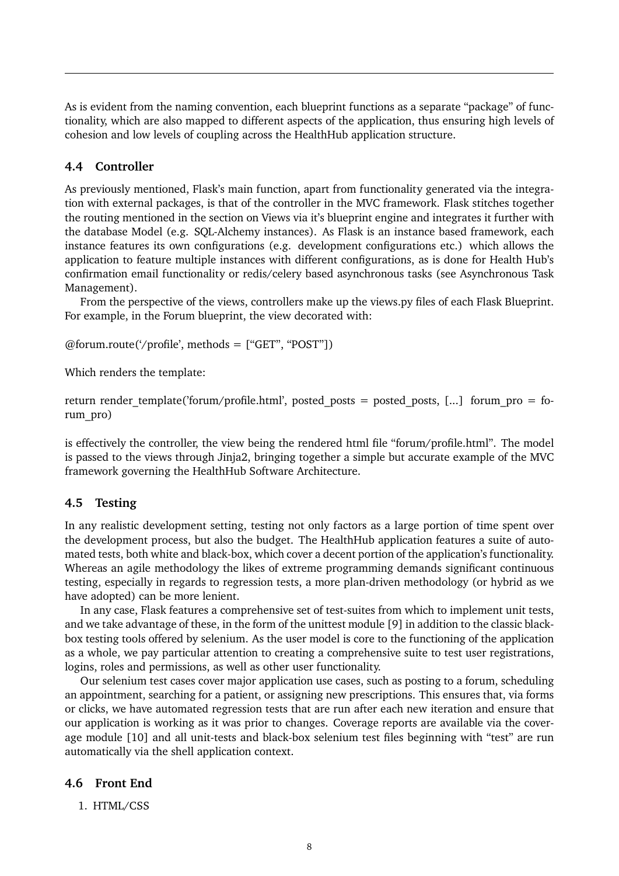As is evident from the naming convention, each blueprint functions as a separate "package" of functionality, which are also mapped to different aspects of the application, thus ensuring high levels of cohesion and low levels of coupling across the HealthHub application structure.

#### **4.4 Controller**

As previously mentioned, Flask's main function, apart from functionality generated via the integration with external packages, is that of the controller in the MVC framework. Flask stitches together the routing mentioned in the section on Views via it's blueprint engine and integrates it further with the database Model (e.g. SQL-Alchemy instances). As Flask is an instance based framework, each instance features its own configurations (e.g. development configurations etc.) which allows the application to feature multiple instances with different configurations, as is done for Health Hub's confirmation email functionality or redis/celery based asynchronous tasks (see Asynchronous Task Management).

From the perspective of the views, controllers make up the views.py files of each Flask Blueprint. For example, in the Forum blueprint, the view decorated with:

 $@form.route('profile', methods = ['GET", "POST"])$ 

Which renders the template:

return render template('forum/profile.html', posted posts = posted posts, [...] forum pro = forum\_pro)

is effectively the controller, the view being the rendered html file "forum/profile.html". The model is passed to the views through Jinja2, bringing together a simple but accurate example of the MVC framework governing the HealthHub Software Architecture.

#### **4.5 Testing**

In any realistic development setting, testing not only factors as a large portion of time spent over the development process, but also the budget. The HealthHub application features a suite of automated tests, both white and black-box, which cover a decent portion of the application's functionality. Whereas an agile methodology the likes of extreme programming demands significant continuous testing, especially in regards to regression tests, a more plan-driven methodology (or hybrid as we have adopted) can be more lenient.

In any case, Flask features a comprehensive set of test-suites from which to implement unit tests, and we take advantage of these, in the form of the unittest module [9] in addition to the classic blackbox testing tools offered by selenium. As the user model is core to the functioning of the application as a whole, we pay particular attention to creating a comprehensive suite to test user registrations, logins, roles and permissions, as well as other user functionality.

Our selenium test cases cover major application use cases, such as posting to a forum, scheduling an appointment, searching for a patient, or assigning new prescriptions. This ensures that, via forms or clicks, we have automated regression tests that are run after each new iteration and ensure that our application is working as it was prior to changes. Coverage reports are available via the coverage module [10] and all unit-tests and black-box selenium test files beginning with "test" are run automatically via the shell application context.

#### **4.6 Front End**

1. HTML/CSS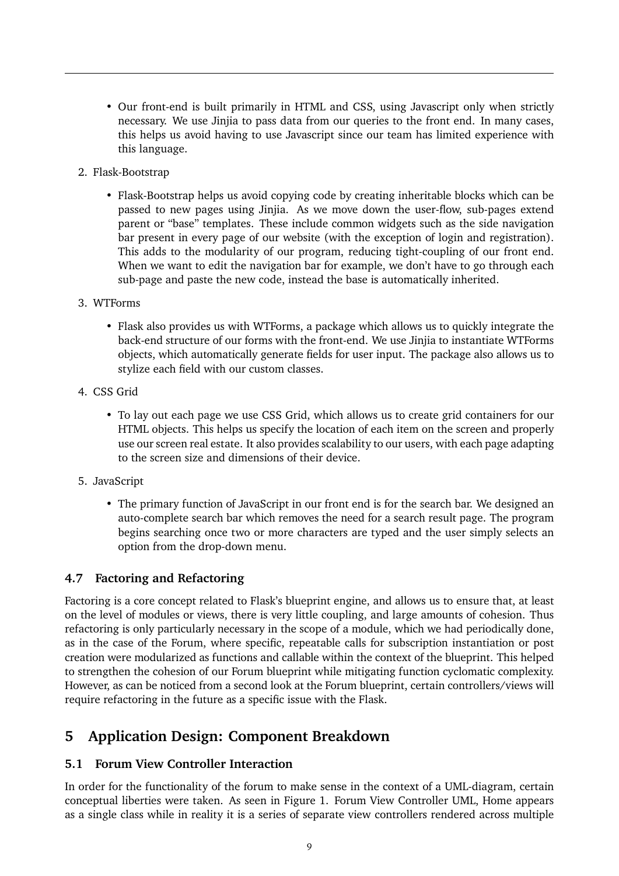- Our front-end is built primarily in HTML and CSS, using Javascript only when strictly necessary. We use Jinjia to pass data from our queries to the front end. In many cases, this helps us avoid having to use Javascript since our team has limited experience with this language.
- 2. Flask-Bootstrap
	- Flask-Bootstrap helps us avoid copying code by creating inheritable blocks which can be passed to new pages using Jinjia. As we move down the user-flow, sub-pages extend parent or "base" templates. These include common widgets such as the side navigation bar present in every page of our website (with the exception of login and registration). This adds to the modularity of our program, reducing tight-coupling of our front end. When we want to edit the navigation bar for example, we don't have to go through each sub-page and paste the new code, instead the base is automatically inherited.
- 3. WTForms
	- Flask also provides us with WTForms, a package which allows us to quickly integrate the back-end structure of our forms with the front-end. We use Jinjia to instantiate WTForms objects, which automatically generate fields for user input. The package also allows us to stylize each field with our custom classes.
- 4. CSS Grid
	- To lay out each page we use CSS Grid, which allows us to create grid containers for our HTML objects. This helps us specify the location of each item on the screen and properly use our screen real estate. It also provides scalability to our users, with each page adapting to the screen size and dimensions of their device.
- 5. JavaScript
	- The primary function of JavaScript in our front end is for the search bar. We designed an auto-complete search bar which removes the need for a search result page. The program begins searching once two or more characters are typed and the user simply selects an option from the drop-down menu.

#### **4.7 Factoring and Refactoring**

Factoring is a core concept related to Flask's blueprint engine, and allows us to ensure that, at least on the level of modules or views, there is very little coupling, and large amounts of cohesion. Thus refactoring is only particularly necessary in the scope of a module, which we had periodically done, as in the case of the Forum, where specific, repeatable calls for subscription instantiation or post creation were modularized as functions and callable within the context of the blueprint. This helped to strengthen the cohesion of our Forum blueprint while mitigating function cyclomatic complexity. However, as can be noticed from a second look at the Forum blueprint, certain controllers/views will require refactoring in the future as a specific issue with the Flask.

## **5 Application Design: Component Breakdown**

#### **5.1 Forum View Controller Interaction**

In order for the functionality of the forum to make sense in the context of a UML-diagram, certain conceptual liberties were taken. As seen in Figure 1. Forum View Controller UML, Home appears as a single class while in reality it is a series of separate view controllers rendered across multiple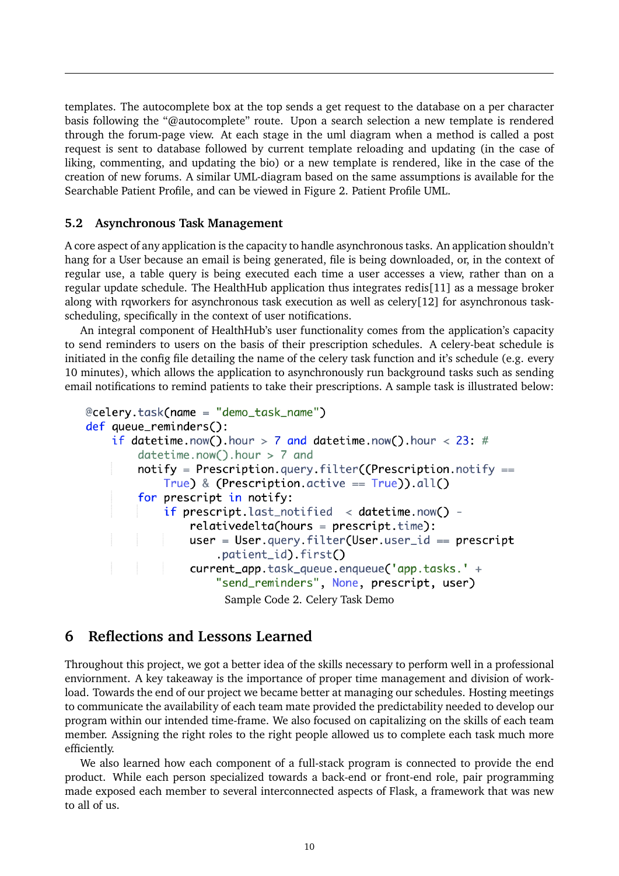templates. The autocomplete box at the top sends a get request to the database on a per character basis following the "@autocomplete" route. Upon a search selection a new template is rendered through the forum-page view. At each stage in the uml diagram when a method is called a post request is sent to database followed by current template reloading and updating (in the case of liking, commenting, and updating the bio) or a new template is rendered, like in the case of the creation of new forums. A similar UML-diagram based on the same assumptions is available for the Searchable Patient Profile, and can be viewed in Figure 2. Patient Profile UML.

#### **5.2 Asynchronous Task Management**

A core aspect of any application is the capacity to handle asynchronous tasks. An application shouldn't hang for a User because an email is being generated, file is being downloaded, or, in the context of regular use, a table query is being executed each time a user accesses a view, rather than on a regular update schedule. The HealthHub application thus integrates redis[11] as a message broker along with rqworkers for asynchronous task execution as well as celery[12] for asynchronous taskscheduling, specifically in the context of user notifications.

An integral component of HealthHub's user functionality comes from the application's capacity to send reminders to users on the basis of their prescription schedules. A celery-beat schedule is initiated in the config file detailing the name of the celery task function and it's schedule (e.g. every 10 minutes), which allows the application to asynchronously run background tasks such as sending email notifications to remind patients to take their prescriptions. A sample task is illustrated below:

```
@celery.task(name = "demo_task_name")
def queue_reminders():
    if datetime.now().hour > 7 and datetime.now().hour < 23: #
        datetime.now().hour > 7 and
        notify = \text{Prescription}.query.filter((Prescription.notify ==True) & (Prescription.active == True)).all()
        for prescript in notify:
            if prescript.last_notified < datetime.now() -
                relativedelta(hours = prescript.time):user = User.query.filter(User.user_id == prescript.patient_id).first()
                current_app.task_queue.enqueue('app.tasks.' +
                    "send_reminders", None, prescript, user)
                      Sample Code 2. Celery Task Demo
```
### **6 Reflections and Lessons Learned**

Throughout this project, we got a better idea of the skills necessary to perform well in a professional enviornment. A key takeaway is the importance of proper time management and division of workload. Towards the end of our project we became better at managing our schedules. Hosting meetings to communicate the availability of each team mate provided the predictability needed to develop our program within our intended time-frame. We also focused on capitalizing on the skills of each team member. Assigning the right roles to the right people allowed us to complete each task much more efficiently.

We also learned how each component of a full-stack program is connected to provide the end product. While each person specialized towards a back-end or front-end role, pair programming made exposed each member to several interconnected aspects of Flask, a framework that was new to all of us.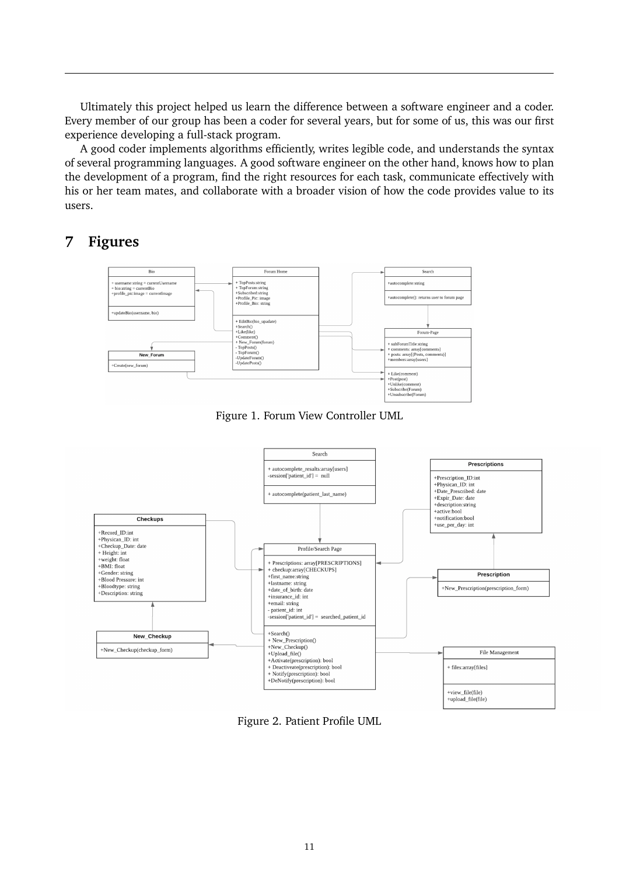Ultimately this project helped us learn the difference between a software engineer and a coder. Every member of our group has been a coder for several years, but for some of us, this was our first experience developing a full-stack program.

A good coder implements algorithms efficiently, writes legible code, and understands the syntax of several programming languages. A good software engineer on the other hand, knows how to plan the development of a program, find the right resources for each task, communicate effectively with his or her team mates, and collaborate with a broader vision of how the code provides value to its users.

## **7 Figures**



Figure 1. Forum View Controller UML



Figure 2. Patient Profile UML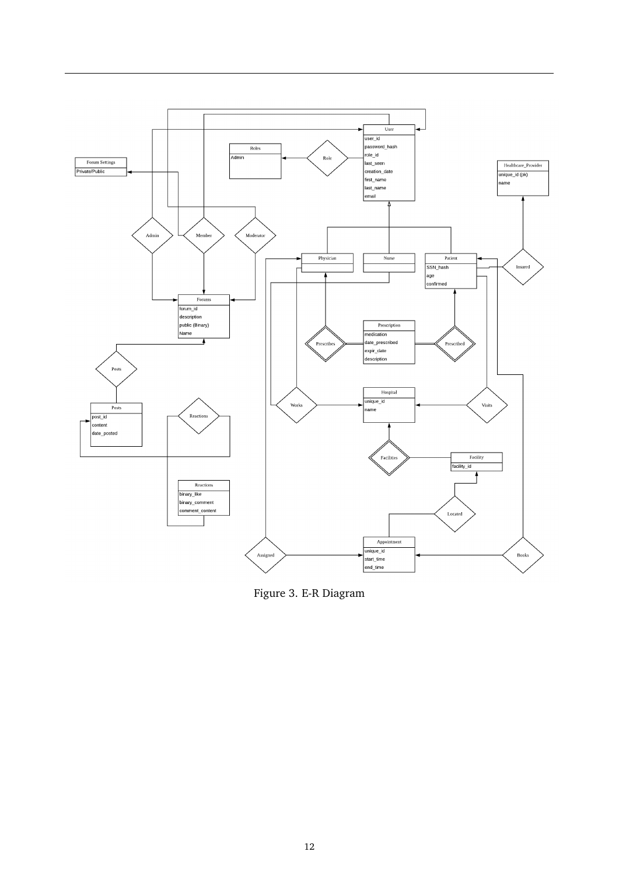

Figure 3. E-R Diagram